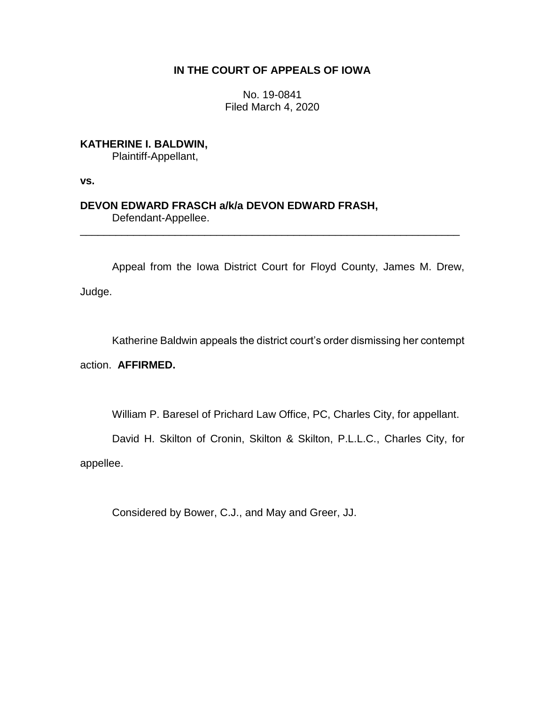## **IN THE COURT OF APPEALS OF IOWA**

No. 19-0841 Filed March 4, 2020

**KATHERINE I. BALDWIN,** Plaintiff-Appellant,

**vs.**

## **DEVON EDWARD FRASCH a/k/a DEVON EDWARD FRASH,** Defendant-Appellee.

Appeal from the Iowa District Court for Floyd County, James M. Drew, Judge.

\_\_\_\_\_\_\_\_\_\_\_\_\_\_\_\_\_\_\_\_\_\_\_\_\_\_\_\_\_\_\_\_\_\_\_\_\_\_\_\_\_\_\_\_\_\_\_\_\_\_\_\_\_\_\_\_\_\_\_\_\_\_\_\_

Katherine Baldwin appeals the district court's order dismissing her contempt

action. **AFFIRMED.**

William P. Baresel of Prichard Law Office, PC, Charles City, for appellant.

David H. Skilton of Cronin, Skilton & Skilton, P.L.L.C., Charles City, for appellee.

Considered by Bower, C.J., and May and Greer, JJ.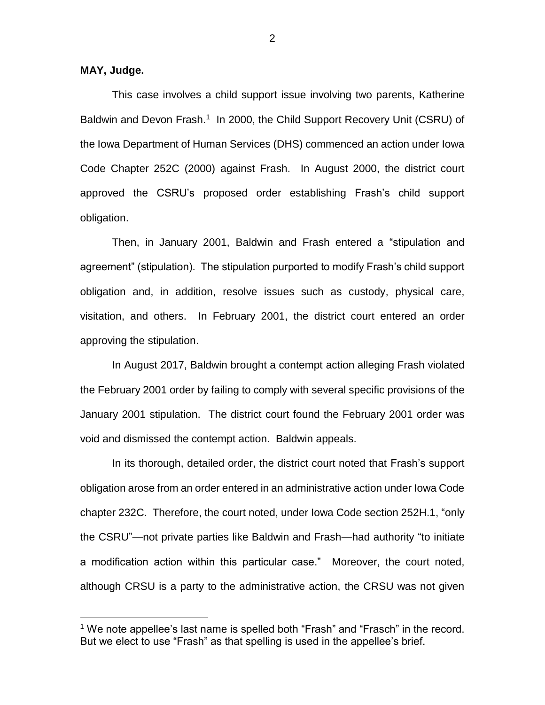## **MAY, Judge.**

 $\overline{a}$ 

This case involves a child support issue involving two parents, Katherine Baldwin and Devon Frash.<sup>1</sup> In 2000, the Child Support Recovery Unit (CSRU) of the Iowa Department of Human Services (DHS) commenced an action under Iowa Code Chapter 252C (2000) against Frash. In August 2000, the district court approved the CSRU's proposed order establishing Frash's child support obligation.

Then, in January 2001, Baldwin and Frash entered a "stipulation and agreement" (stipulation). The stipulation purported to modify Frash's child support obligation and, in addition, resolve issues such as custody, physical care, visitation, and others. In February 2001, the district court entered an order approving the stipulation.

In August 2017, Baldwin brought a contempt action alleging Frash violated the February 2001 order by failing to comply with several specific provisions of the January 2001 stipulation. The district court found the February 2001 order was void and dismissed the contempt action. Baldwin appeals.

In its thorough, detailed order, the district court noted that Frash's support obligation arose from an order entered in an administrative action under Iowa Code chapter 232C. Therefore, the court noted, under Iowa Code section 252H.1, "only the CSRU"—not private parties like Baldwin and Frash—had authority "to initiate a modification action within this particular case." Moreover, the court noted, although CRSU is a party to the administrative action, the CRSU was not given

<sup>&</sup>lt;sup>1</sup> We note appellee's last name is spelled both "Frash" and "Frasch" in the record. But we elect to use "Frash" as that spelling is used in the appellee's brief.